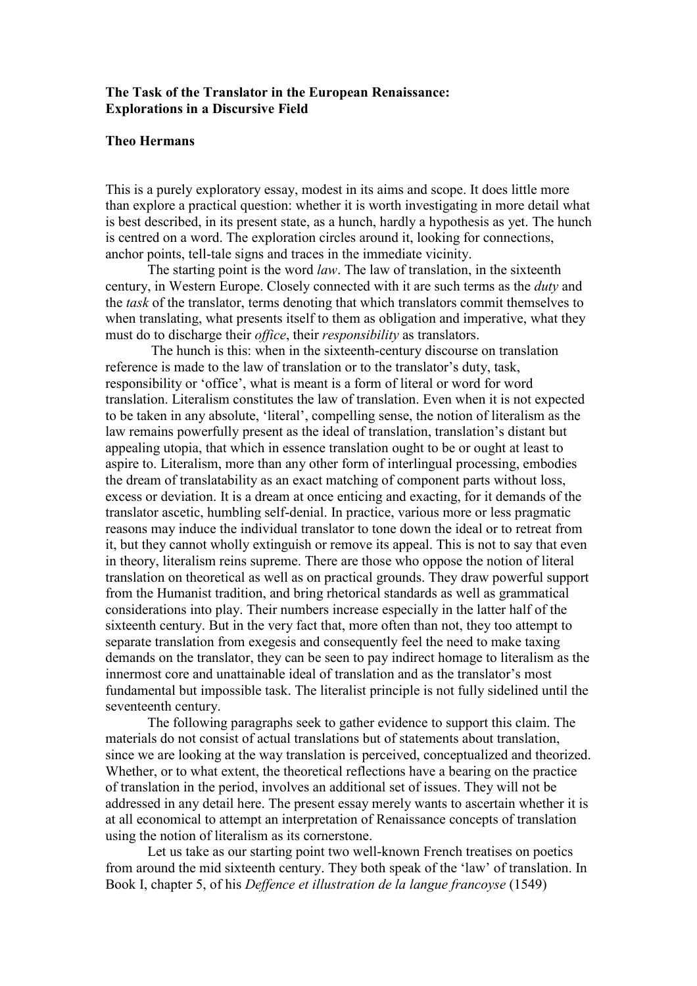## The Task of the Translator in the European Renaissance: Explorations in a Discursive Field

## Theo Hermans

This is a purely exploratory essay, modest in its aims and scope. It does little more than explore a practical question: whether it is worth investigating in more detail what is best described, in its present state, as a hunch, hardly a hypothesis as yet. The hunch is centred on a word. The exploration circles around it, looking for connections, anchor points, tell-tale signs and traces in the immediate vicinity.

The starting point is the word *law*. The law of translation, in the sixteenth century, in Western Europe. Closely connected with it are such terms as the duty and the task of the translator, terms denoting that which translators commit themselves to when translating, what presents itself to them as obligation and imperative, what they must do to discharge their office, their responsibility as translators.

 The hunch is this: when in the sixteenth-century discourse on translation reference is made to the law of translation or to the translator's duty, task, responsibility or 'office', what is meant is a form of literal or word for word translation. Literalism constitutes the law of translation. Even when it is not expected to be taken in any absolute, 'literal', compelling sense, the notion of literalism as the law remains powerfully present as the ideal of translation, translation's distant but appealing utopia, that which in essence translation ought to be or ought at least to aspire to. Literalism, more than any other form of interlingual processing, embodies the dream of translatability as an exact matching of component parts without loss, excess or deviation. It is a dream at once enticing and exacting, for it demands of the translator ascetic, humbling self-denial. In practice, various more or less pragmatic reasons may induce the individual translator to tone down the ideal or to retreat from it, but they cannot wholly extinguish or remove its appeal. This is not to say that even in theory, literalism reins supreme. There are those who oppose the notion of literal translation on theoretical as well as on practical grounds. They draw powerful support from the Humanist tradition, and bring rhetorical standards as well as grammatical considerations into play. Their numbers increase especially in the latter half of the sixteenth century. But in the very fact that, more often than not, they too attempt to separate translation from exegesis and consequently feel the need to make taxing demands on the translator, they can be seen to pay indirect homage to literalism as the innermost core and unattainable ideal of translation and as the translator's most fundamental but impossible task. The literalist principle is not fully sidelined until the seventeenth century.

 The following paragraphs seek to gather evidence to support this claim. The materials do not consist of actual translations but of statements about translation, since we are looking at the way translation is perceived, conceptualized and theorized. Whether, or to what extent, the theoretical reflections have a bearing on the practice of translation in the period, involves an additional set of issues. They will not be addressed in any detail here. The present essay merely wants to ascertain whether it is at all economical to attempt an interpretation of Renaissance concepts of translation using the notion of literalism as its cornerstone.

Let us take as our starting point two well-known French treatises on poetics from around the mid sixteenth century. They both speak of the 'law' of translation. In Book I, chapter 5, of his Deffence et illustration de la langue francoyse (1549)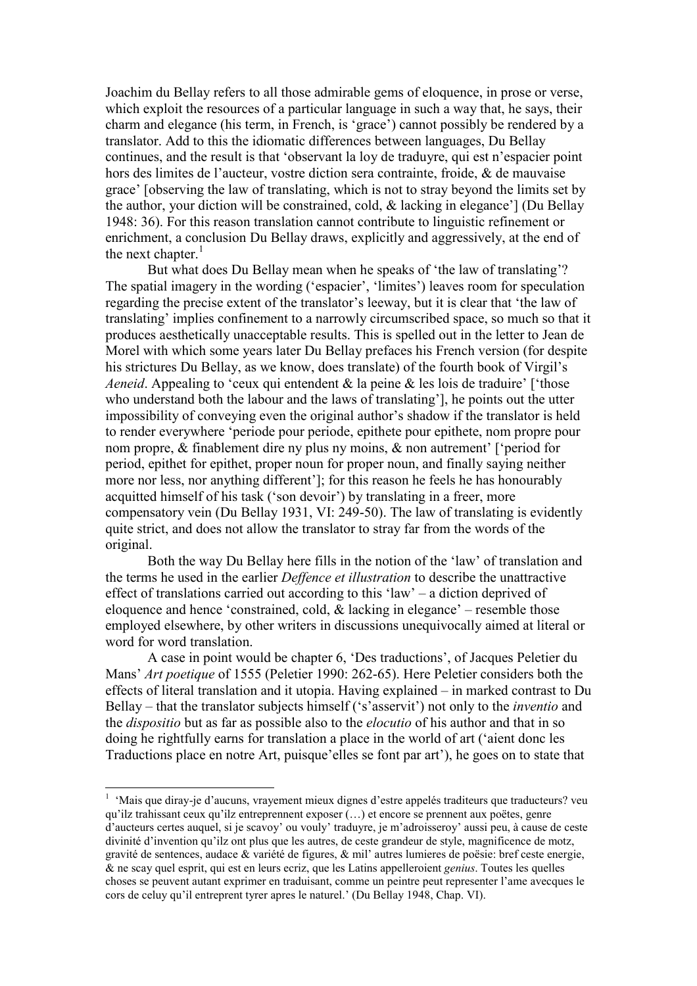Joachim du Bellay refers to all those admirable gems of eloquence, in prose or verse, which exploit the resources of a particular language in such a way that, he says, their charm and elegance (his term, in French, is 'grace') cannot possibly be rendered by a translator. Add to this the idiomatic differences between languages, Du Bellay continues, and the result is that 'observant la loy de traduyre, qui est n'espacier point hors des limites de l'aucteur, vostre diction sera contrainte, froide, & de mauvaise grace' [observing the law of translating, which is not to stray beyond the limits set by the author, your diction will be constrained, cold, & lacking in elegance'] (Du Bellay 1948: 36). For this reason translation cannot contribute to linguistic refinement or enrichment, a conclusion Du Bellay draws, explicitly and aggressively, at the end of the next chapter  $<sup>1</sup>$ </sup>

But what does Du Bellay mean when he speaks of 'the law of translating'? The spatial imagery in the wording ('espacier', 'limites') leaves room for speculation regarding the precise extent of the translator's leeway, but it is clear that 'the law of translating' implies confinement to a narrowly circumscribed space, so much so that it produces aesthetically unacceptable results. This is spelled out in the letter to Jean de Morel with which some years later Du Bellay prefaces his French version (for despite his strictures Du Bellay, as we know, does translate) of the fourth book of Virgil's *Aeneid.* Appealing to 'ceux qui entendent  $\&$  la peine  $\&$  les lois de traduire' ['those' who understand both the labour and the laws of translating'], he points out the utter impossibility of conveying even the original author's shadow if the translator is held to render everywhere 'periode pour periode, epithete pour epithete, nom propre pour nom propre, & finablement dire ny plus ny moins, & non autrement' ['period for period, epithet for epithet, proper noun for proper noun, and finally saying neither more nor less, nor anything different']; for this reason he feels he has honourably acquitted himself of his task ('son devoir') by translating in a freer, more compensatory vein (Du Bellay 1931, VI: 249-50). The law of translating is evidently quite strict, and does not allow the translator to stray far from the words of the original.

Both the way Du Bellay here fills in the notion of the 'law' of translation and the terms he used in the earlier Deffence et illustration to describe the unattractive effect of translations carried out according to this 'law' – a diction deprived of eloquence and hence 'constrained, cold,  $\&$  lacking in elegance' – resemble those employed elsewhere, by other writers in discussions unequivocally aimed at literal or word for word translation.

A case in point would be chapter 6, 'Des traductions', of Jacques Peletier du Mans' Art poetique of 1555 (Peletier 1990: 262-65). Here Peletier considers both the effects of literal translation and it utopia. Having explained – in marked contrast to Du Bellay – that the translator subjects himself ('s'asservit') not only to the *inventio* and the *dispositio* but as far as possible also to the *elocutio* of his author and that in so doing he rightfully earns for translation a place in the world of art ('aient donc les Traductions place en notre Art, puisque'elles se font par art'), he goes on to state that

<sup>&</sup>lt;sup>1</sup> 'Mais que diray-je d'aucuns, vrayement mieux dignes d'estre appelés traditeurs que traducteurs? veu qu'ilz trahissant ceux qu'ilz entreprennent exposer (…) et encore se prennent aux poëtes, genre d'aucteurs certes auquel, si je scavoy' ou vouly' traduyre, je m'adroisseroy' aussi peu, à cause de ceste divinité d'invention qu'ilz ont plus que les autres, de ceste grandeur de style, magnificence de motz, gravité de sentences, audace & variété de figures, & mil' autres lumieres de poësie: bref ceste energie, & ne scay quel esprit, qui est en leurs ecriz, que les Latins appelleroient genius. Toutes les quelles choses se peuvent autant exprimer en traduisant, comme un peintre peut representer l'ame avecques le cors de celuy qu'il entreprent tyrer apres le naturel.' (Du Bellay 1948, Chap. VI).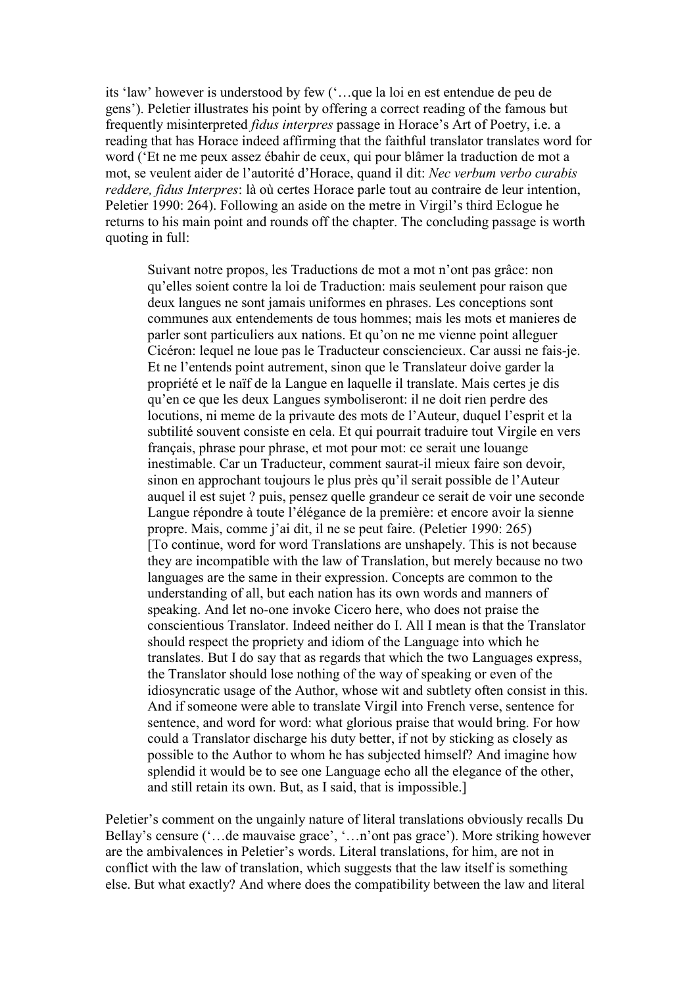its 'law' however is understood by few ('…que la loi en est entendue de peu de gens'). Peletier illustrates his point by offering a correct reading of the famous but frequently misinterpreted fidus interpres passage in Horace's Art of Poetry, i.e. a reading that has Horace indeed affirming that the faithful translator translates word for word ('Et ne me peux assez ébahir de ceux, qui pour blâmer la traduction de mot a mot, se veulent aider de l'autorité d'Horace, quand il dit: Nec verbum verbo curabis reddere, fidus Interpres: là où certes Horace parle tout au contraire de leur intention, Peletier 1990: 264). Following an aside on the metre in Virgil's third Eclogue he returns to his main point and rounds off the chapter. The concluding passage is worth quoting in full:

Suivant notre propos, les Traductions de mot a mot n'ont pas grâce: non qu'elles soient contre la loi de Traduction: mais seulement pour raison que deux langues ne sont jamais uniformes en phrases. Les conceptions sont communes aux entendements de tous hommes; mais les mots et manieres de parler sont particuliers aux nations. Et qu'on ne me vienne point alleguer Cicéron: lequel ne loue pas le Traducteur consciencieux. Car aussi ne fais-je. Et ne l'entends point autrement, sinon que le Translateur doive garder la propriété et le naïf de la Langue en laquelle il translate. Mais certes je dis qu'en ce que les deux Langues symboliseront: il ne doit rien perdre des locutions, ni meme de la privaute des mots de l'Auteur, duquel l'esprit et la subtilité souvent consiste en cela. Et qui pourrait traduire tout Virgile en vers français, phrase pour phrase, et mot pour mot: ce serait une louange inestimable. Car un Traducteur, comment saurat-il mieux faire son devoir, sinon en approchant toujours le plus près qu'il serait possible de l'Auteur auquel il est sujet ? puis, pensez quelle grandeur ce serait de voir une seconde Langue répondre à toute l'élégance de la première: et encore avoir la sienne propre. Mais, comme j'ai dit, il ne se peut faire. (Peletier 1990: 265) [To continue, word for word Translations are unshapely. This is not because they are incompatible with the law of Translation, but merely because no two languages are the same in their expression. Concepts are common to the understanding of all, but each nation has its own words and manners of speaking. And let no-one invoke Cicero here, who does not praise the conscientious Translator. Indeed neither do I. All I mean is that the Translator should respect the propriety and idiom of the Language into which he translates. But I do say that as regards that which the two Languages express, the Translator should lose nothing of the way of speaking or even of the idiosyncratic usage of the Author, whose wit and subtlety often consist in this. And if someone were able to translate Virgil into French verse, sentence for sentence, and word for word: what glorious praise that would bring. For how could a Translator discharge his duty better, if not by sticking as closely as possible to the Author to whom he has subjected himself? And imagine how splendid it would be to see one Language echo all the elegance of the other, and still retain its own. But, as I said, that is impossible.]

Peletier's comment on the ungainly nature of literal translations obviously recalls Du Bellay's censure ('…de mauvaise grace', '…n'ont pas grace'). More striking however are the ambivalences in Peletier's words. Literal translations, for him, are not in conflict with the law of translation, which suggests that the law itself is something else. But what exactly? And where does the compatibility between the law and literal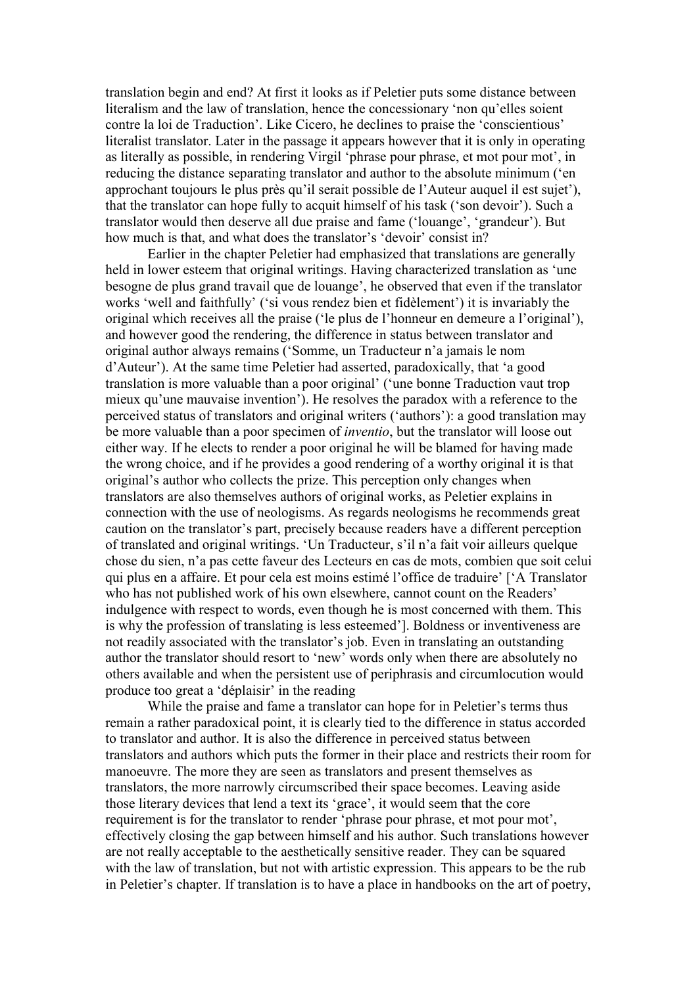translation begin and end? At first it looks as if Peletier puts some distance between literalism and the law of translation, hence the concessionary 'non qu'elles soient contre la loi de Traduction'. Like Cicero, he declines to praise the 'conscientious' literalist translator. Later in the passage it appears however that it is only in operating as literally as possible, in rendering Virgil 'phrase pour phrase, et mot pour mot', in reducing the distance separating translator and author to the absolute minimum ('en approchant toujours le plus près qu'il serait possible de l'Auteur auquel il est sujet'), that the translator can hope fully to acquit himself of his task ('son devoir'). Such a translator would then deserve all due praise and fame ('louange', 'grandeur'). But how much is that, and what does the translator's 'devoir' consist in?

 Earlier in the chapter Peletier had emphasized that translations are generally held in lower esteem that original writings. Having characterized translation as 'une besogne de plus grand travail que de louange', he observed that even if the translator works 'well and faithfully' ('si vous rendez bien et fidèlement') it is invariably the original which receives all the praise ('le plus de l'honneur en demeure a l'original'), and however good the rendering, the difference in status between translator and original author always remains ('Somme, un Traducteur n'a jamais le nom d'Auteur'). At the same time Peletier had asserted, paradoxically, that 'a good translation is more valuable than a poor original' ('une bonne Traduction vaut trop mieux qu'une mauvaise invention'). He resolves the paradox with a reference to the perceived status of translators and original writers ('authors'): a good translation may be more valuable than a poor specimen of inventio, but the translator will loose out either way. If he elects to render a poor original he will be blamed for having made the wrong choice, and if he provides a good rendering of a worthy original it is that original's author who collects the prize. This perception only changes when translators are also themselves authors of original works, as Peletier explains in connection with the use of neologisms. As regards neologisms he recommends great caution on the translator's part, precisely because readers have a different perception of translated and original writings. 'Un Traducteur, s'il n'a fait voir ailleurs quelque chose du sien, n'a pas cette faveur des Lecteurs en cas de mots, combien que soit celui qui plus en a affaire. Et pour cela est moins estimé l'office de traduire' ['A Translator who has not published work of his own elsewhere, cannot count on the Readers' indulgence with respect to words, even though he is most concerned with them. This is why the profession of translating is less esteemed']. Boldness or inventiveness are not readily associated with the translator's job. Even in translating an outstanding author the translator should resort to 'new' words only when there are absolutely no others available and when the persistent use of periphrasis and circumlocution would produce too great a 'déplaisir' in the reading

 While the praise and fame a translator can hope for in Peletier's terms thus remain a rather paradoxical point, it is clearly tied to the difference in status accorded to translator and author. It is also the difference in perceived status between translators and authors which puts the former in their place and restricts their room for manoeuvre. The more they are seen as translators and present themselves as translators, the more narrowly circumscribed their space becomes. Leaving aside those literary devices that lend a text its 'grace', it would seem that the core requirement is for the translator to render 'phrase pour phrase, et mot pour mot', effectively closing the gap between himself and his author. Such translations however are not really acceptable to the aesthetically sensitive reader. They can be squared with the law of translation, but not with artistic expression. This appears to be the rub in Peletier's chapter. If translation is to have a place in handbooks on the art of poetry,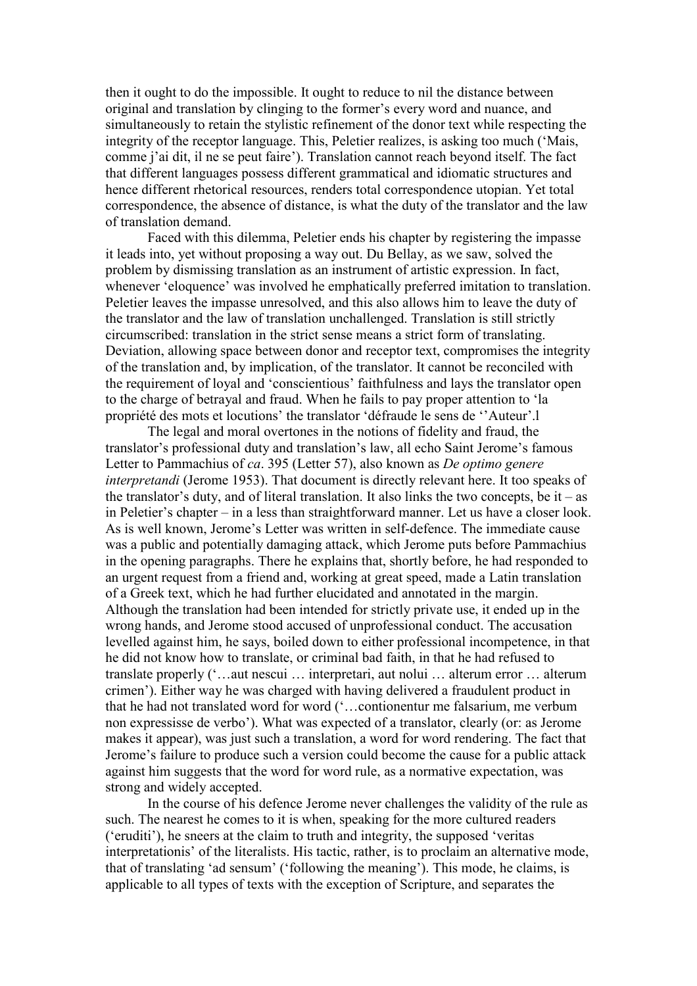then it ought to do the impossible. It ought to reduce to nil the distance between original and translation by clinging to the former's every word and nuance, and simultaneously to retain the stylistic refinement of the donor text while respecting the integrity of the receptor language. This, Peletier realizes, is asking too much ('Mais, comme j'ai dit, il ne se peut faire'). Translation cannot reach beyond itself. The fact that different languages possess different grammatical and idiomatic structures and hence different rhetorical resources, renders total correspondence utopian. Yet total correspondence, the absence of distance, is what the duty of the translator and the law of translation demand.

Faced with this dilemma, Peletier ends his chapter by registering the impasse it leads into, yet without proposing a way out. Du Bellay, as we saw, solved the problem by dismissing translation as an instrument of artistic expression. In fact, whenever 'eloquence' was involved he emphatically preferred imitation to translation. Peletier leaves the impasse unresolved, and this also allows him to leave the duty of the translator and the law of translation unchallenged. Translation is still strictly circumscribed: translation in the strict sense means a strict form of translating. Deviation, allowing space between donor and receptor text, compromises the integrity of the translation and, by implication, of the translator. It cannot be reconciled with the requirement of loyal and 'conscientious' faithfulness and lays the translator open to the charge of betrayal and fraud. When he fails to pay proper attention to 'la propriété des mots et locutions' the translator 'défraude le sens de ''Auteur'.l

The legal and moral overtones in the notions of fidelity and fraud, the translator's professional duty and translation's law, all echo Saint Jerome's famous Letter to Pammachius of ca. 395 (Letter 57), also known as De optimo genere interpretandi (Jerome 1953). That document is directly relevant here. It too speaks of the translator's duty, and of literal translation. It also links the two concepts, be it – as in Peletier's chapter – in a less than straightforward manner. Let us have a closer look. As is well known, Jerome's Letter was written in self-defence. The immediate cause was a public and potentially damaging attack, which Jerome puts before Pammachius in the opening paragraphs. There he explains that, shortly before, he had responded to an urgent request from a friend and, working at great speed, made a Latin translation of a Greek text, which he had further elucidated and annotated in the margin. Although the translation had been intended for strictly private use, it ended up in the wrong hands, and Jerome stood accused of unprofessional conduct. The accusation levelled against him, he says, boiled down to either professional incompetence, in that he did not know how to translate, or criminal bad faith, in that he had refused to translate properly ('…aut nescui … interpretari, aut nolui … alterum error … alterum crimen'). Either way he was charged with having delivered a fraudulent product in that he had not translated word for word ('…contionentur me falsarium, me verbum non expressisse de verbo'). What was expected of a translator, clearly (or: as Jerome makes it appear), was just such a translation, a word for word rendering. The fact that Jerome's failure to produce such a version could become the cause for a public attack against him suggests that the word for word rule, as a normative expectation, was strong and widely accepted.

In the course of his defence Jerome never challenges the validity of the rule as such. The nearest he comes to it is when, speaking for the more cultured readers ('eruditi'), he sneers at the claim to truth and integrity, the supposed 'veritas interpretationis' of the literalists. His tactic, rather, is to proclaim an alternative mode, that of translating 'ad sensum' ('following the meaning'). This mode, he claims, is applicable to all types of texts with the exception of Scripture, and separates the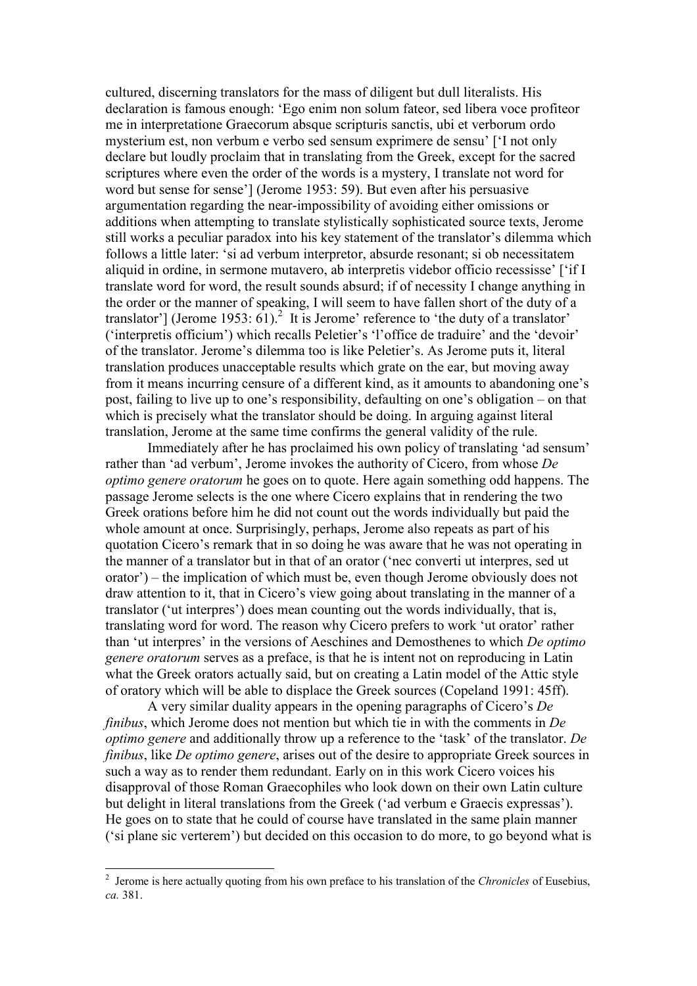cultured, discerning translators for the mass of diligent but dull literalists. His declaration is famous enough: 'Ego enim non solum fateor, sed libera voce profiteor me in interpretatione Graecorum absque scripturis sanctis, ubi et verborum ordo mysterium est, non verbum e verbo sed sensum exprimere de sensu' ['I not only declare but loudly proclaim that in translating from the Greek, except for the sacred scriptures where even the order of the words is a mystery, I translate not word for word but sense for sense'] (Jerome 1953: 59). But even after his persuasive argumentation regarding the near-impossibility of avoiding either omissions or additions when attempting to translate stylistically sophisticated source texts, Jerome still works a peculiar paradox into his key statement of the translator's dilemma which follows a little later: 'si ad verbum interpretor, absurde resonant; si ob necessitatem aliquid in ordine, in sermone mutavero, ab interpretis videbor officio recessisse' ['if I translate word for word, the result sounds absurd; if of necessity I change anything in the order or the manner of speaking, I will seem to have fallen short of the duty of a translator'] (Jerome 1953:  $61$ ).<sup>2</sup> It is Jerome' reference to 'the duty of a translator' ('interpretis officium') which recalls Peletier's 'l'office de traduire' and the 'devoir' of the translator. Jerome's dilemma too is like Peletier's. As Jerome puts it, literal translation produces unacceptable results which grate on the ear, but moving away from it means incurring censure of a different kind, as it amounts to abandoning one's post, failing to live up to one's responsibility, defaulting on one's obligation – on that which is precisely what the translator should be doing. In arguing against literal translation, Jerome at the same time confirms the general validity of the rule.

Immediately after he has proclaimed his own policy of translating 'ad sensum' rather than 'ad verbum', Jerome invokes the authority of Cicero, from whose De optimo genere oratorum he goes on to quote. Here again something odd happens. The passage Jerome selects is the one where Cicero explains that in rendering the two Greek orations before him he did not count out the words individually but paid the whole amount at once. Surprisingly, perhaps, Jerome also repeats as part of his quotation Cicero's remark that in so doing he was aware that he was not operating in the manner of a translator but in that of an orator ('nec converti ut interpres, sed ut orator') – the implication of which must be, even though Jerome obviously does not draw attention to it, that in Cicero's view going about translating in the manner of a translator ('ut interpres') does mean counting out the words individually, that is, translating word for word. The reason why Cicero prefers to work 'ut orator' rather than 'ut interpres' in the versions of Aeschines and Demosthenes to which De optimo genere oratorum serves as a preface, is that he is intent not on reproducing in Latin what the Greek orators actually said, but on creating a Latin model of the Attic style of oratory which will be able to displace the Greek sources (Copeland 1991: 45ff).

A very similar duality appears in the opening paragraphs of Cicero's De finibus, which Jerome does not mention but which tie in with the comments in De optimo genere and additionally throw up a reference to the 'task' of the translator. De finibus, like De optimo genere, arises out of the desire to appropriate Greek sources in such a way as to render them redundant. Early on in this work Cicero voices his disapproval of those Roman Graecophiles who look down on their own Latin culture but delight in literal translations from the Greek ('ad verbum e Graecis expressas'). He goes on to state that he could of course have translated in the same plain manner ('si plane sic verterem') but decided on this occasion to do more, to go beyond what is

 $2$  Jerome is here actually quoting from his own preface to his translation of the *Chronicles* of Eusebius, ca. 381.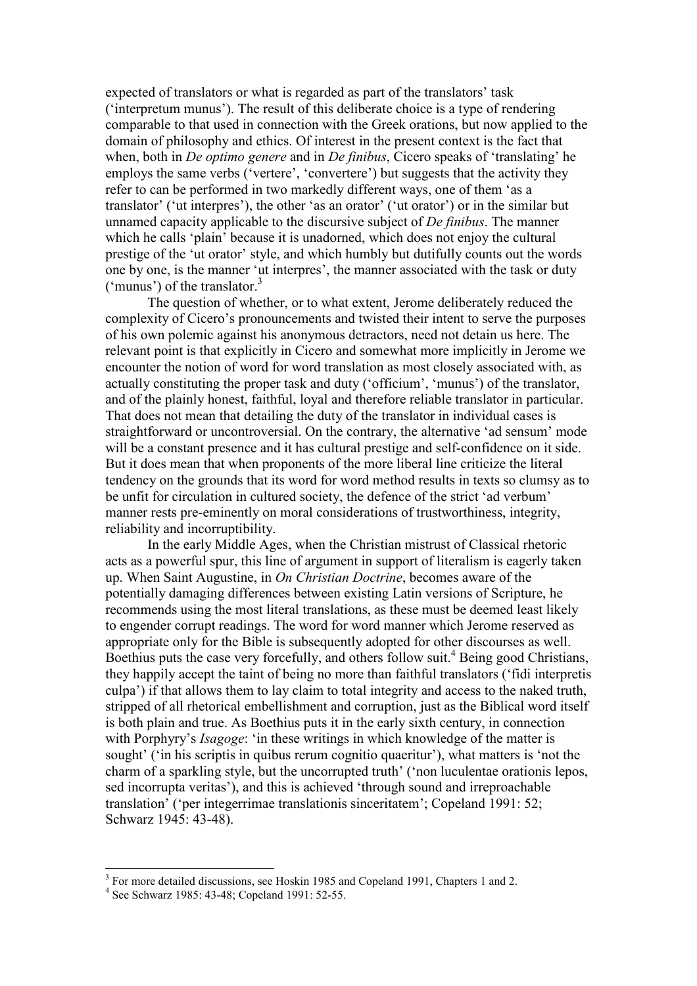expected of translators or what is regarded as part of the translators' task ('interpretum munus'). The result of this deliberate choice is a type of rendering comparable to that used in connection with the Greek orations, but now applied to the domain of philosophy and ethics. Of interest in the present context is the fact that when, both in *De optimo genere* and in *De finibus*, Cicero speaks of 'translating' he employs the same verbs ('vertere', 'convertere') but suggests that the activity they refer to can be performed in two markedly different ways, one of them 'as a translator' ('ut interpres'), the other 'as an orator' ('ut orator') or in the similar but unnamed capacity applicable to the discursive subject of De finibus. The manner which he calls 'plain' because it is unadorned, which does not enjoy the cultural prestige of the 'ut orator' style, and which humbly but dutifully counts out the words one by one, is the manner 'ut interpres', the manner associated with the task or duty ('munus') of the translator. $3$ 

The question of whether, or to what extent, Jerome deliberately reduced the complexity of Cicero's pronouncements and twisted their intent to serve the purposes of his own polemic against his anonymous detractors, need not detain us here. The relevant point is that explicitly in Cicero and somewhat more implicitly in Jerome we encounter the notion of word for word translation as most closely associated with, as actually constituting the proper task and duty ('officium', 'munus') of the translator, and of the plainly honest, faithful, loyal and therefore reliable translator in particular. That does not mean that detailing the duty of the translator in individual cases is straightforward or uncontroversial. On the contrary, the alternative 'ad sensum' mode will be a constant presence and it has cultural prestige and self-confidence on it side. But it does mean that when proponents of the more liberal line criticize the literal tendency on the grounds that its word for word method results in texts so clumsy as to be unfit for circulation in cultured society, the defence of the strict 'ad verbum' manner rests pre-eminently on moral considerations of trustworthiness, integrity, reliability and incorruptibility.

In the early Middle Ages, when the Christian mistrust of Classical rhetoric acts as a powerful spur, this line of argument in support of literalism is eagerly taken up. When Saint Augustine, in On Christian Doctrine, becomes aware of the potentially damaging differences between existing Latin versions of Scripture, he recommends using the most literal translations, as these must be deemed least likely to engender corrupt readings. The word for word manner which Jerome reserved as appropriate only for the Bible is subsequently adopted for other discourses as well. Boethius puts the case very forcefully, and others follow suit.<sup>4</sup> Being good Christians, they happily accept the taint of being no more than faithful translators ('fidi interpretis culpa') if that allows them to lay claim to total integrity and access to the naked truth, stripped of all rhetorical embellishment and corruption, just as the Biblical word itself is both plain and true. As Boethius puts it in the early sixth century, in connection with Porphyry's *Isagoge*: 'in these writings in which knowledge of the matter is sought' ('in his scriptis in quibus rerum cognitio quaeritur'), what matters is 'not the charm of a sparkling style, but the uncorrupted truth' ('non luculentae orationis lepos, sed incorrupta veritas'), and this is achieved 'through sound and irreproachable translation' ('per integerrimae translationis sinceritatem'; Copeland 1991: 52; Schwarz 1945: 43-48).

<sup>&</sup>lt;sup>3</sup> For more detailed discussions, see Hoskin 1985 and Copeland 1991, Chapters 1 and 2.

<sup>4</sup> See Schwarz 1985: 43-48; Copeland 1991: 52-55.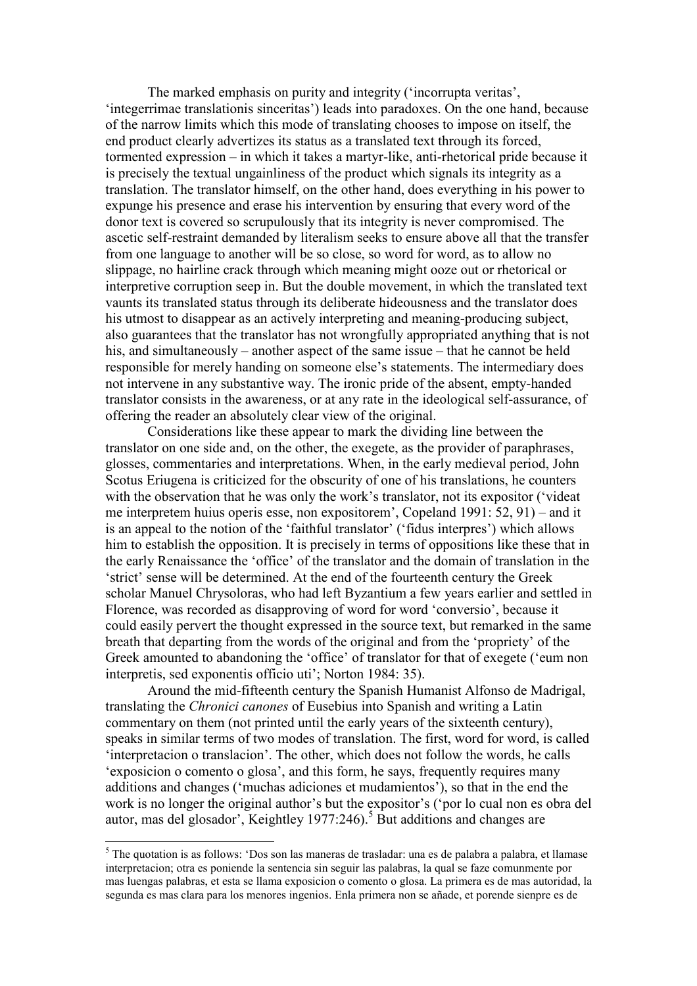The marked emphasis on purity and integrity ('incorrupta veritas', 'integerrimae translationis sinceritas') leads into paradoxes. On the one hand, because of the narrow limits which this mode of translating chooses to impose on itself, the end product clearly advertizes its status as a translated text through its forced, tormented expression – in which it takes a martyr-like, anti-rhetorical pride because it is precisely the textual ungainliness of the product which signals its integrity as a translation. The translator himself, on the other hand, does everything in his power to expunge his presence and erase his intervention by ensuring that every word of the donor text is covered so scrupulously that its integrity is never compromised. The ascetic self-restraint demanded by literalism seeks to ensure above all that the transfer from one language to another will be so close, so word for word, as to allow no slippage, no hairline crack through which meaning might ooze out or rhetorical or interpretive corruption seep in. But the double movement, in which the translated text vaunts its translated status through its deliberate hideousness and the translator does his utmost to disappear as an actively interpreting and meaning-producing subject, also guarantees that the translator has not wrongfully appropriated anything that is not his, and simultaneously – another aspect of the same issue – that he cannot be held responsible for merely handing on someone else's statements. The intermediary does not intervene in any substantive way. The ironic pride of the absent, empty-handed translator consists in the awareness, or at any rate in the ideological self-assurance, of offering the reader an absolutely clear view of the original.

 Considerations like these appear to mark the dividing line between the translator on one side and, on the other, the exegete, as the provider of paraphrases, glosses, commentaries and interpretations. When, in the early medieval period, John Scotus Eriugena is criticized for the obscurity of one of his translations, he counters with the observation that he was only the work's translator, not its expositor ('videat me interpretem huius operis esse, non expositorem', Copeland 1991: 52, 91) – and it is an appeal to the notion of the 'faithful translator' ('fidus interpres') which allows him to establish the opposition. It is precisely in terms of oppositions like these that in the early Renaissance the 'office' of the translator and the domain of translation in the 'strict' sense will be determined. At the end of the fourteenth century the Greek scholar Manuel Chrysoloras, who had left Byzantium a few years earlier and settled in Florence, was recorded as disapproving of word for word 'conversio', because it could easily pervert the thought expressed in the source text, but remarked in the same breath that departing from the words of the original and from the 'propriety' of the Greek amounted to abandoning the 'office' of translator for that of exegete ('eum non interpretis, sed exponentis officio uti'; Norton 1984: 35).

 Around the mid-fifteenth century the Spanish Humanist Alfonso de Madrigal, translating the Chronici canones of Eusebius into Spanish and writing a Latin commentary on them (not printed until the early years of the sixteenth century), speaks in similar terms of two modes of translation. The first, word for word, is called 'interpretacion o translacion'. The other, which does not follow the words, he calls 'exposicion o comento o glosa', and this form, he says, frequently requires many additions and changes ('muchas adiciones et mudamientos'), so that in the end the work is no longer the original author's but the expositor's ('por lo cual non es obra del autor, mas del glosador', Keightley 1977:246).<sup>5</sup> But additions and changes are

 $\overline{a}$ 

<sup>&</sup>lt;sup>5</sup> The quotation is as follows: 'Dos son las maneras de trasladar: una es de palabra a palabra, et llamase interpretacion; otra es poniende la sentencia sin seguir las palabras, la qual se faze comunmente por mas luengas palabras, et esta se llama exposicion o comento o glosa. La primera es de mas autoridad, la segunda es mas clara para los menores ingenios. Enla primera non se añade, et porende sienpre es de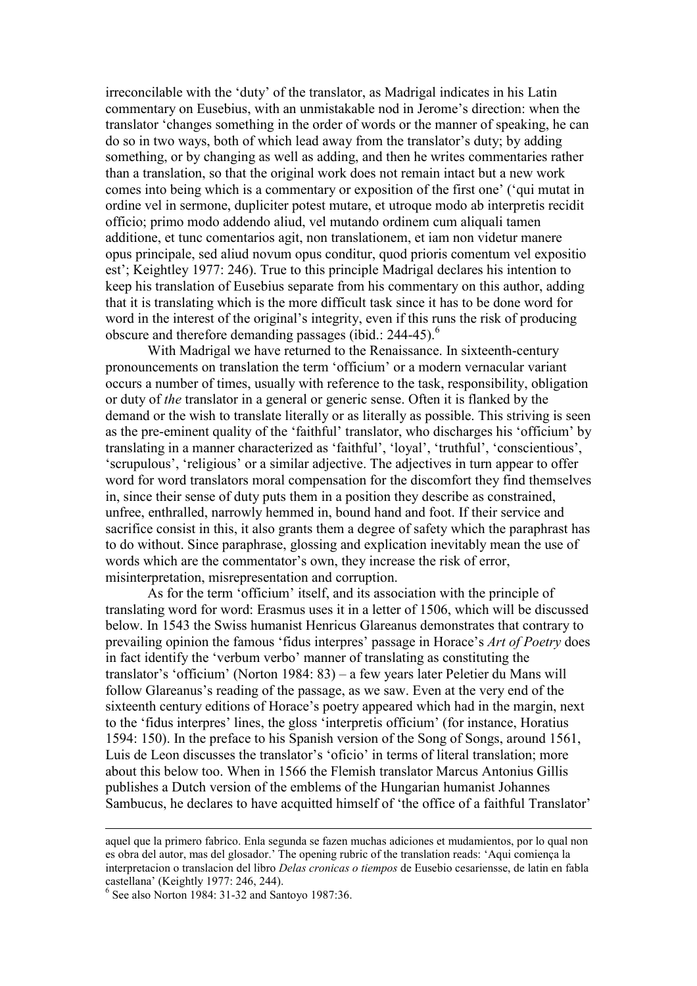irreconcilable with the 'duty' of the translator, as Madrigal indicates in his Latin commentary on Eusebius, with an unmistakable nod in Jerome's direction: when the translator 'changes something in the order of words or the manner of speaking, he can do so in two ways, both of which lead away from the translator's duty; by adding something, or by changing as well as adding, and then he writes commentaries rather than a translation, so that the original work does not remain intact but a new work comes into being which is a commentary or exposition of the first one' ('qui mutat in ordine vel in sermone, dupliciter potest mutare, et utroque modo ab interpretis recidit officio; primo modo addendo aliud, vel mutando ordinem cum aliquali tamen additione, et tunc comentarios agit, non translationem, et iam non videtur manere opus principale, sed aliud novum opus conditur, quod prioris comentum vel expositio est'; Keightley 1977: 246). True to this principle Madrigal declares his intention to keep his translation of Eusebius separate from his commentary on this author, adding that it is translating which is the more difficult task since it has to be done word for word in the interest of the original's integrity, even if this runs the risk of producing obscure and therefore demanding passages (ibid.: 244-45).<sup>6</sup>

 With Madrigal we have returned to the Renaissance. In sixteenth-century pronouncements on translation the term 'officium' or a modern vernacular variant occurs a number of times, usually with reference to the task, responsibility, obligation or duty of the translator in a general or generic sense. Often it is flanked by the demand or the wish to translate literally or as literally as possible. This striving is seen as the pre-eminent quality of the 'faithful' translator, who discharges his 'officium' by translating in a manner characterized as 'faithful', 'loyal', 'truthful', 'conscientious', 'scrupulous', 'religious' or a similar adjective. The adjectives in turn appear to offer word for word translators moral compensation for the discomfort they find themselves in, since their sense of duty puts them in a position they describe as constrained, unfree, enthralled, narrowly hemmed in, bound hand and foot. If their service and sacrifice consist in this, it also grants them a degree of safety which the paraphrast has to do without. Since paraphrase, glossing and explication inevitably mean the use of words which are the commentator's own, they increase the risk of error, misinterpretation, misrepresentation and corruption.

 As for the term 'officium' itself, and its association with the principle of translating word for word: Erasmus uses it in a letter of 1506, which will be discussed below. In 1543 the Swiss humanist Henricus Glareanus demonstrates that contrary to prevailing opinion the famous 'fidus interpres' passage in Horace's Art of Poetry does in fact identify the 'verbum verbo' manner of translating as constituting the translator's 'officium' (Norton 1984: 83) – a few years later Peletier du Mans will follow Glareanus's reading of the passage, as we saw. Even at the very end of the sixteenth century editions of Horace's poetry appeared which had in the margin, next to the 'fidus interpres' lines, the gloss 'interpretis officium' (for instance, Horatius 1594: 150). In the preface to his Spanish version of the Song of Songs, around 1561, Luis de Leon discusses the translator's 'oficio' in terms of literal translation; more about this below too. When in 1566 the Flemish translator Marcus Antonius Gillis publishes a Dutch version of the emblems of the Hungarian humanist Johannes Sambucus, he declares to have acquitted himself of 'the office of a faithful Translator'

aquel que la primero fabrico. Enla segunda se fazen muchas adiciones et mudamientos, por lo qual non es obra del autor, mas del glosador.' The opening rubric of the translation reads: 'Aqui comiença la interpretacion o translacion del libro *Delas cronicas o tiempos* de Eusebio cesariensse, de latin en fabla castellana' (Keightly 1977: 246, 244).

<sup>6</sup> See also Norton 1984: 31-32 and Santoyo 1987:36.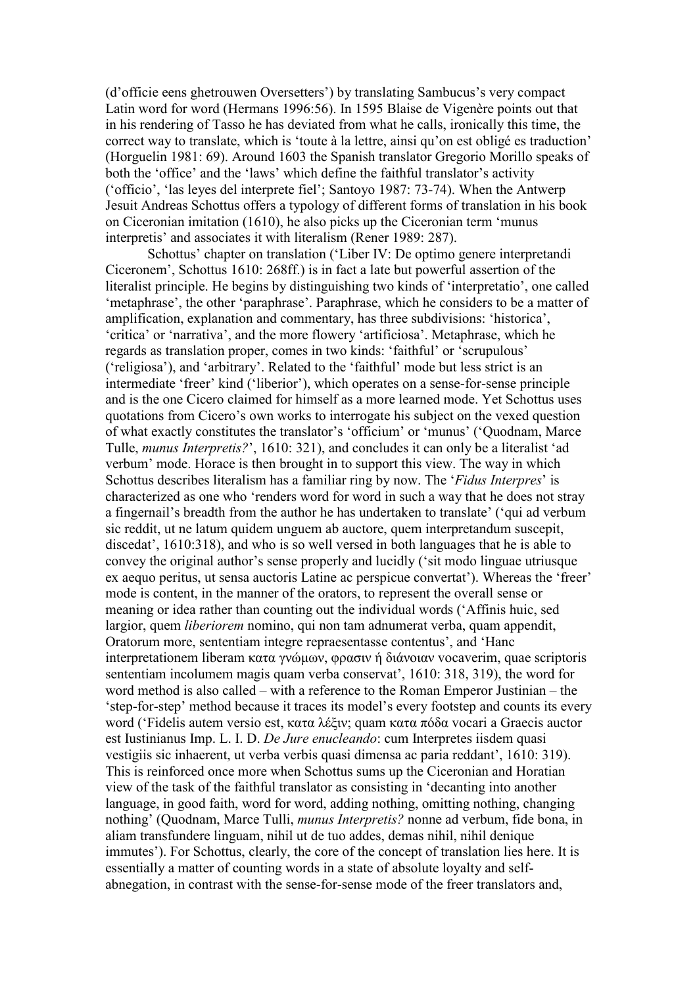(d'officie eens ghetrouwen Oversetters') by translating Sambucus's very compact Latin word for word (Hermans 1996:56). In 1595 Blaise de Vigenère points out that in his rendering of Tasso he has deviated from what he calls, ironically this time, the correct way to translate, which is 'toute à la lettre, ainsi qu'on est obligé es traduction' (Horguelin 1981: 69). Around 1603 the Spanish translator Gregorio Morillo speaks of both the 'office' and the 'laws' which define the faithful translator's activity ('officio', 'las leyes del interprete fiel'; Santoyo 1987: 73-74). When the Antwerp Jesuit Andreas Schottus offers a typology of different forms of translation in his book on Ciceronian imitation (1610), he also picks up the Ciceronian term 'munus interpretis' and associates it with literalism (Rener 1989: 287).

 Schottus' chapter on translation ('Liber IV: De optimo genere interpretandi Ciceronem', Schottus 1610: 268ff.) is in fact a late but powerful assertion of the literalist principle. He begins by distinguishing two kinds of 'interpretatio', one called 'metaphrase', the other 'paraphrase'. Paraphrase, which he considers to be a matter of amplification, explanation and commentary, has three subdivisions: 'historica', 'critica' or 'narrativa', and the more flowery 'artificiosa'. Metaphrase, which he regards as translation proper, comes in two kinds: 'faithful' or 'scrupulous' ('religiosa'), and 'arbitrary'. Related to the 'faithful' mode but less strict is an intermediate 'freer' kind ('liberior'), which operates on a sense-for-sense principle and is the one Cicero claimed for himself as a more learned mode. Yet Schottus uses quotations from Cicero's own works to interrogate his subject on the vexed question of what exactly constitutes the translator's 'officium' or 'munus' ('Quodnam, Marce Tulle, munus Interpretis?', 1610: 321), and concludes it can only be a literalist 'ad verbum' mode. Horace is then brought in to support this view. The way in which Schottus describes literalism has a familiar ring by now. The '*Fidus Interpres*' is characterized as one who 'renders word for word in such a way that he does not stray a fingernail's breadth from the author he has undertaken to translate' ('qui ad verbum sic reddit, ut ne latum quidem unguem ab auctore, quem interpretandum suscepit, discedat', 1610:318), and who is so well versed in both languages that he is able to convey the original author's sense properly and lucidly ('sit modo linguae utriusque ex aequo peritus, ut sensa auctoris Latine ac perspicue convertat'). Whereas the 'freer' mode is content, in the manner of the orators, to represent the overall sense or meaning or idea rather than counting out the individual words ('Affinis huic, sed largior, quem liberiorem nomino, qui non tam adnumerat verba, quam appendit, Oratorum more, sententiam integre repraesentasse contentus', and 'Hanc interpretationem liberam κατα γνώµων, φρασιν ή διάνοιαν vocaverim, quae scriptoris sententiam incolumem magis quam verba conservat', 1610: 318, 319), the word for word method is also called – with a reference to the Roman Emperor Justinian – the 'step-for-step' method because it traces its model's every footstep and counts its every word ('Fidelis autem versio est, κατα λέξιν; quam κατα πόδα vocari a Graecis auctor est Iustinianus Imp. L. I. D. De Jure enucleando: cum Interpretes iisdem quasi vestigiis sic inhaerent, ut verba verbis quasi dimensa ac paria reddant', 1610: 319). This is reinforced once more when Schottus sums up the Ciceronian and Horatian view of the task of the faithful translator as consisting in 'decanting into another language, in good faith, word for word, adding nothing, omitting nothing, changing nothing' (Quodnam, Marce Tulli, munus Interpretis? nonne ad verbum, fide bona, in aliam transfundere linguam, nihil ut de tuo addes, demas nihil, nihil denique immutes'). For Schottus, clearly, the core of the concept of translation lies here. It is essentially a matter of counting words in a state of absolute loyalty and selfabnegation, in contrast with the sense-for-sense mode of the freer translators and,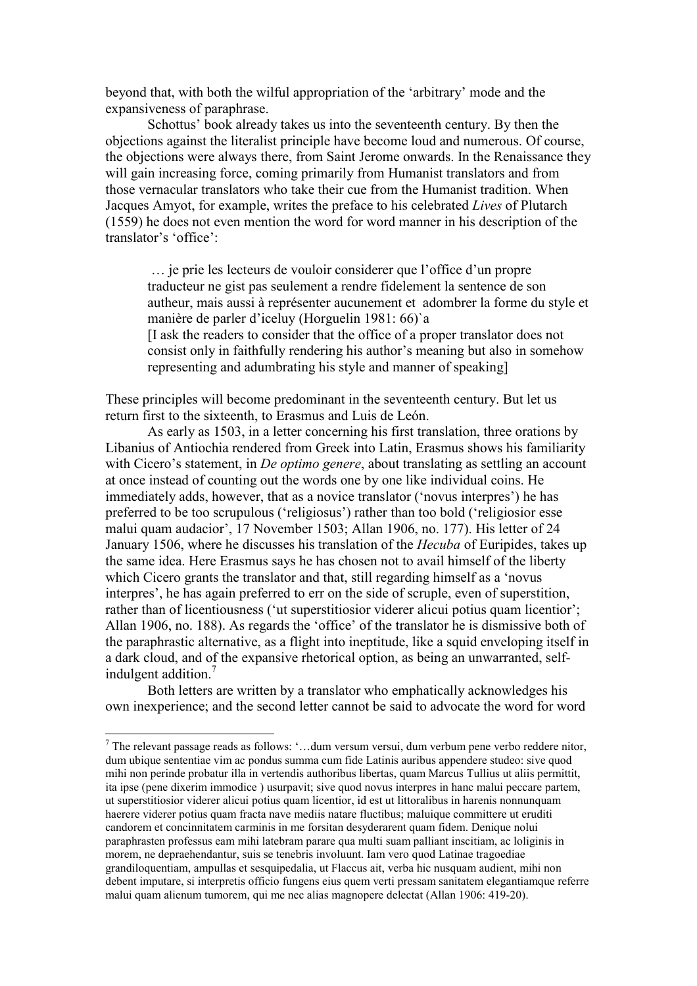beyond that, with both the wilful appropriation of the 'arbitrary' mode and the expansiveness of paraphrase.

 Schottus' book already takes us into the seventeenth century. By then the objections against the literalist principle have become loud and numerous. Of course, the objections were always there, from Saint Jerome onwards. In the Renaissance they will gain increasing force, coming primarily from Humanist translators and from those vernacular translators who take their cue from the Humanist tradition. When Jacques Amyot, for example, writes the preface to his celebrated Lives of Plutarch (1559) he does not even mention the word for word manner in his description of the translator's 'office':

 … je prie les lecteurs de vouloir considerer que l'office d'un propre traducteur ne gist pas seulement a rendre fidelement la sentence de son autheur, mais aussi à représenter aucunement et adombrer la forme du style et manière de parler d'iceluy (Horguelin 1981: 66)`a [I ask the readers to consider that the office of a proper translator does not consist only in faithfully rendering his author's meaning but also in somehow representing and adumbrating his style and manner of speaking]

These principles will become predominant in the seventeenth century. But let us return first to the sixteenth, to Erasmus and Luis de León.

 As early as 1503, in a letter concerning his first translation, three orations by Libanius of Antiochia rendered from Greek into Latin, Erasmus shows his familiarity with Cicero's statement, in *De optimo genere*, about translating as settling an account at once instead of counting out the words one by one like individual coins. He immediately adds, however, that as a novice translator ('novus interpres') he has preferred to be too scrupulous ('religiosus') rather than too bold ('religiosior esse malui quam audacior', 17 November 1503; Allan 1906, no. 177). His letter of 24 January 1506, where he discusses his translation of the Hecuba of Euripides, takes up the same idea. Here Erasmus says he has chosen not to avail himself of the liberty which Cicero grants the translator and that, still regarding himself as a 'novus interpres', he has again preferred to err on the side of scruple, even of superstition, rather than of licentiousness ('ut superstitiosior viderer alicui potius quam licentior'; Allan 1906, no. 188). As regards the 'office' of the translator he is dismissive both of the paraphrastic alternative, as a flight into ineptitude, like a squid enveloping itself in a dark cloud, and of the expansive rhetorical option, as being an unwarranted, selfindulgent addition.<sup>7</sup>

 Both letters are written by a translator who emphatically acknowledges his own inexperience; and the second letter cannot be said to advocate the word for word

 $\overline{a}$ 

<sup>&</sup>lt;sup>7</sup> The relevant passage reads as follows: '...dum versum versui, dum verbum pene verbo reddere nitor, dum ubique sententiae vim ac pondus summa cum fide Latinis auribus appendere studeo: sive quod mihi non perinde probatur illa in vertendis authoribus libertas, quam Marcus Tullius ut aliis permittit, ita ipse (pene dixerim immodice ) usurpavit; sive quod novus interpres in hanc malui peccare partem, ut superstitiosior viderer alicui potius quam licentior, id est ut littoralibus in harenis nonnunquam haerere viderer potius quam fracta nave mediis natare fluctibus; maluique committere ut eruditi candorem et concinnitatem carminis in me forsitan desyderarent quam fidem. Denique nolui paraphrasten professus eam mihi latebram parare qua multi suam palliant inscitiam, ac loliginis in morem, ne depraehendantur, suis se tenebris involuunt. Iam vero quod Latinae tragoediae grandiloquentiam, ampullas et sesquipedalia, ut Flaccus ait, verba hic nusquam audient, mihi non debent imputare, si interpretis officio fungens eius quem verti pressam sanitatem elegantiamque referre malui quam alienum tumorem, qui me nec alias magnopere delectat (Allan 1906: 419-20).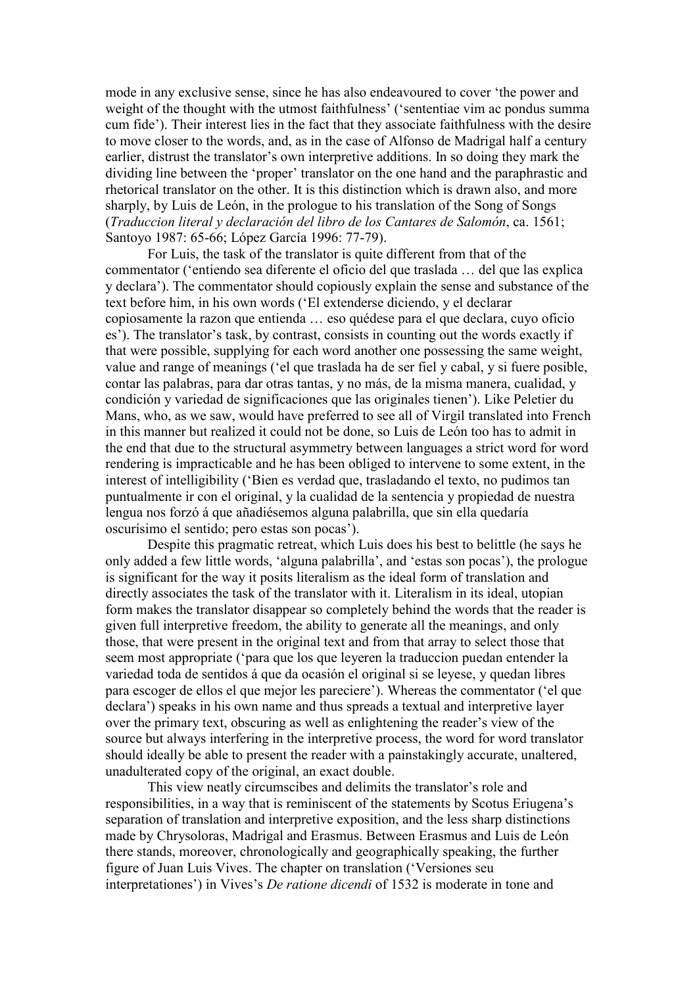mode in any exclusive sense, since he has also endeavoured to cover 'the power and weight of the thought with the utmost faithfulness' ('sententiae vim ac pondus summa cum fide'). Their interest lies in the fact that they associate faithfulness with the desire to move closer to the words, and, as in the case of Alfonso de Madrigal half a century earlier, distrust the translator's own interpretive additions. In so doing they mark the dividing line between the 'proper' translator on the one hand and the paraphrastic and rhetorical translator on the other. It is this distinction which is drawn also, and more sharply, by Luis de León, in the prologue to his translation of the Song of Songs (Traduccion literal y declaración del libro de los Cantares de Salomón, ca. 1561; Santoyo 1987: 65-66; López García 1996: 77-79).

 For Luis, the task of the translator is quite different from that of the commentator ('entiendo sea diferente el oficio del que traslada … del que las explica y declara'). The commentator should copiously explain the sense and substance of the text before him, in his own words ('El extenderse diciendo, y el declarar copiosamente la razon que entienda … eso quédese para el que declara, cuyo oficio es'). The translator's task, by contrast, consists in counting out the words exactly if that were possible, supplying for each word another one possessing the same weight, value and range of meanings ('el que traslada ha de ser fiel y cabal, y si fuere posible, contar las palabras, para dar otras tantas, y no más, de la misma manera, cualidad, y condición y variedad de significaciones que las originales tienen'). Like Peletier du Mans, who, as we saw, would have preferred to see all of Virgil translated into French in this manner but realized it could not be done, so Luis de León too has to admit in the end that due to the structural asymmetry between languages a strict word for word rendering is impracticable and he has been obliged to intervene to some extent, in the interest of intelligibility ('Bien es verdad que, trasladando el texto, no pudimos tan puntualmente ir con el original, y la cualidad de la sentencia y propiedad de nuestra lengua nos forzó á que añadiésemos alguna palabrilla, que sin ella quedaría oscurísimo el sentido; pero estas son pocas').

 Despite this pragmatic retreat, which Luis does his best to belittle (he says he only added a few little words, 'alguna palabrilla', and 'estas son pocas'), the prologue is significant for the way it posits literalism as the ideal form of translation and directly associates the task of the translator with it. Literalism in its ideal, utopian form makes the translator disappear so completely behind the words that the reader is given full interpretive freedom, the ability to generate all the meanings, and only those, that were present in the original text and from that array to select those that seem most appropriate ('para que los que leyeren la traduccion puedan entender la variedad toda de sentidos á que da ocasión el original si se leyese, y quedan libres para escoger de ellos el que mejor les pareciere'). Whereas the commentator ('el que declara') speaks in his own name and thus spreads a textual and interpretive layer over the primary text, obscuring as well as enlightening the reader's view of the source but always interfering in the interpretive process, the word for word translator should ideally be able to present the reader with a painstakingly accurate, unaltered, unadulterated copy of the original, an exact double.

 This view neatly circumscibes and delimits the translator's role and responsibilities, in a way that is reminiscent of the statements by Scotus Eriugena's separation of translation and interpretive exposition, and the less sharp distinctions made by Chrysoloras, Madrigal and Erasmus. Between Erasmus and Luis de León there stands, moreover, chronologically and geographically speaking, the further figure of Juan Luis Vives. The chapter on translation ('Versiones seu interpretationes') in Vives's De ratione dicendi of 1532 is moderate in tone and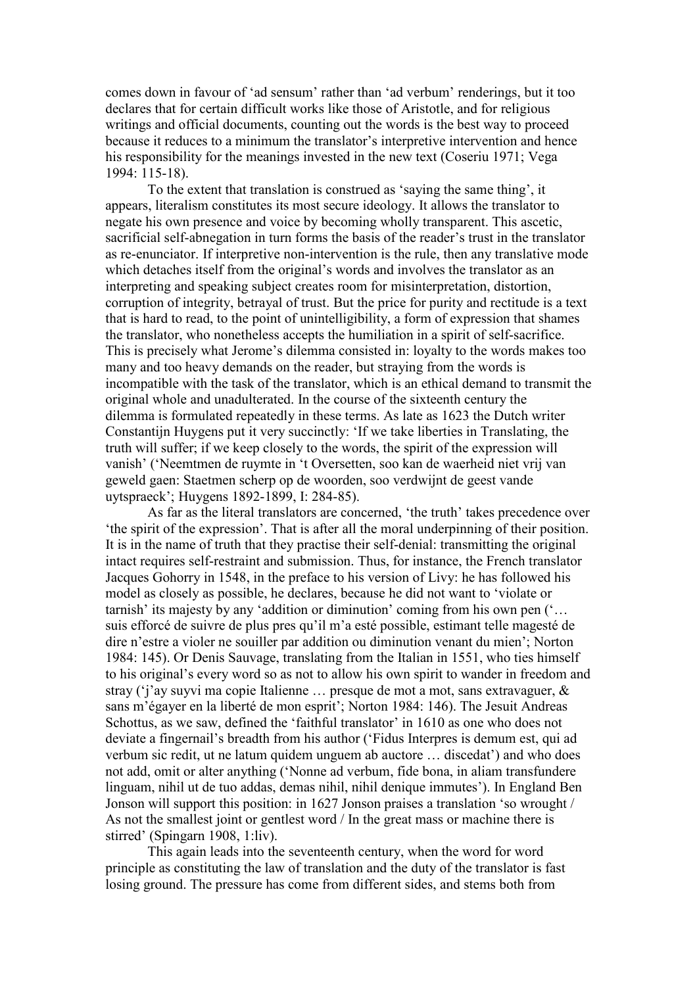comes down in favour of 'ad sensum' rather than 'ad verbum' renderings, but it too declares that for certain difficult works like those of Aristotle, and for religious writings and official documents, counting out the words is the best way to proceed because it reduces to a minimum the translator's interpretive intervention and hence his responsibility for the meanings invested in the new text (Coseriu 1971; Vega 1994: 115-18).

 To the extent that translation is construed as 'saying the same thing', it appears, literalism constitutes its most secure ideology. It allows the translator to negate his own presence and voice by becoming wholly transparent. This ascetic, sacrificial self-abnegation in turn forms the basis of the reader's trust in the translator as re-enunciator. If interpretive non-intervention is the rule, then any translative mode which detaches itself from the original's words and involves the translator as an interpreting and speaking subject creates room for misinterpretation, distortion, corruption of integrity, betrayal of trust. But the price for purity and rectitude is a text that is hard to read, to the point of unintelligibility, a form of expression that shames the translator, who nonetheless accepts the humiliation in a spirit of self-sacrifice. This is precisely what Jerome's dilemma consisted in: loyalty to the words makes too many and too heavy demands on the reader, but straying from the words is incompatible with the task of the translator, which is an ethical demand to transmit the original whole and unadulterated. In the course of the sixteenth century the dilemma is formulated repeatedly in these terms. As late as 1623 the Dutch writer Constantijn Huygens put it very succinctly: 'If we take liberties in Translating, the truth will suffer; if we keep closely to the words, the spirit of the expression will vanish' ('Neemtmen de ruymte in 't Oversetten, soo kan de waerheid niet vrij van geweld gaen: Staetmen scherp op de woorden, soo verdwijnt de geest vande uytspraeck'; Huygens 1892-1899, I: 284-85).

 As far as the literal translators are concerned, 'the truth' takes precedence over 'the spirit of the expression'. That is after all the moral underpinning of their position. It is in the name of truth that they practise their self-denial: transmitting the original intact requires self-restraint and submission. Thus, for instance, the French translator Jacques Gohorry in 1548, in the preface to his version of Livy: he has followed his model as closely as possible, he declares, because he did not want to 'violate or tarnish' its majesty by any 'addition or diminution' coming from his own pen ('… suis efforcé de suivre de plus pres qu'il m'a esté possible, estimant telle magesté de dire n'estre a violer ne souiller par addition ou diminution venant du mien'; Norton 1984: 145). Or Denis Sauvage, translating from the Italian in 1551, who ties himself to his original's every word so as not to allow his own spirit to wander in freedom and stray ('j'ay suyvi ma copie Italienne … presque de mot a mot, sans extravaguer, & sans m'égayer en la liberté de mon esprit'; Norton 1984: 146). The Jesuit Andreas Schottus, as we saw, defined the 'faithful translator' in 1610 as one who does not deviate a fingernail's breadth from his author ('Fidus Interpres is demum est, qui ad verbum sic redit, ut ne latum quidem unguem ab auctore … discedat') and who does not add, omit or alter anything ('Nonne ad verbum, fide bona, in aliam transfundere linguam, nihil ut de tuo addas, demas nihil, nihil denique immutes'). In England Ben Jonson will support this position: in 1627 Jonson praises a translation 'so wrought / As not the smallest joint or gentlest word / In the great mass or machine there is stirred' (Spingarn 1908, 1:liv).

 This again leads into the seventeenth century, when the word for word principle as constituting the law of translation and the duty of the translator is fast losing ground. The pressure has come from different sides, and stems both from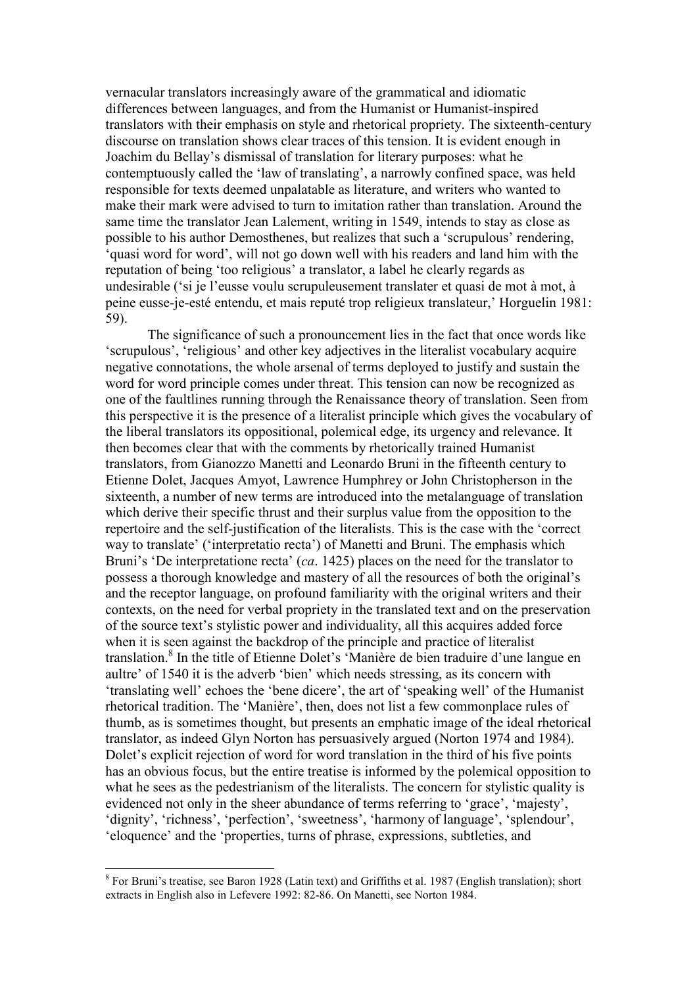vernacular translators increasingly aware of the grammatical and idiomatic differences between languages, and from the Humanist or Humanist-inspired translators with their emphasis on style and rhetorical propriety. The sixteenth-century discourse on translation shows clear traces of this tension. It is evident enough in Joachim du Bellay's dismissal of translation for literary purposes: what he contemptuously called the 'law of translating', a narrowly confined space, was held responsible for texts deemed unpalatable as literature, and writers who wanted to make their mark were advised to turn to imitation rather than translation. Around the same time the translator Jean Lalement, writing in 1549, intends to stay as close as possible to his author Demosthenes, but realizes that such a 'scrupulous' rendering, 'quasi word for word', will not go down well with his readers and land him with the reputation of being 'too religious' a translator, a label he clearly regards as undesirable ('si je l'eusse voulu scrupuleusement translater et quasi de mot à mot, à peine eusse-je-esté entendu, et mais reputé trop religieux translateur,' Horguelin 1981: 59).

 The significance of such a pronouncement lies in the fact that once words like 'scrupulous', 'religious' and other key adjectives in the literalist vocabulary acquire negative connotations, the whole arsenal of terms deployed to justify and sustain the word for word principle comes under threat. This tension can now be recognized as one of the faultlines running through the Renaissance theory of translation. Seen from this perspective it is the presence of a literalist principle which gives the vocabulary of the liberal translators its oppositional, polemical edge, its urgency and relevance. It then becomes clear that with the comments by rhetorically trained Humanist translators, from Gianozzo Manetti and Leonardo Bruni in the fifteenth century to Etienne Dolet, Jacques Amyot, Lawrence Humphrey or John Christopherson in the sixteenth, a number of new terms are introduced into the metalanguage of translation which derive their specific thrust and their surplus value from the opposition to the repertoire and the self-justification of the literalists. This is the case with the 'correct way to translate' ('interpretatio recta') of Manetti and Bruni. The emphasis which Bruni's 'De interpretatione recta' (ca. 1425) places on the need for the translator to possess a thorough knowledge and mastery of all the resources of both the original's and the receptor language, on profound familiarity with the original writers and their contexts, on the need for verbal propriety in the translated text and on the preservation of the source text's stylistic power and individuality, all this acquires added force when it is seen against the backdrop of the principle and practice of literalist translation.<sup>8</sup> In the title of Etienne Dolet's 'Manière de bien traduire d'une langue en aultre' of 1540 it is the adverb 'bien' which needs stressing, as its concern with 'translating well' echoes the 'bene dicere', the art of 'speaking well' of the Humanist rhetorical tradition. The 'Manière', then, does not list a few commonplace rules of thumb, as is sometimes thought, but presents an emphatic image of the ideal rhetorical translator, as indeed Glyn Norton has persuasively argued (Norton 1974 and 1984). Dolet's explicit rejection of word for word translation in the third of his five points has an obvious focus, but the entire treatise is informed by the polemical opposition to what he sees as the pedestrianism of the literalists. The concern for stylistic quality is evidenced not only in the sheer abundance of terms referring to 'grace', 'majesty', 'dignity', 'richness', 'perfection', 'sweetness', 'harmony of language', 'splendour', 'eloquence' and the 'properties, turns of phrase, expressions, subtleties, and

<sup>&</sup>lt;sup>8</sup> For Bruni's treatise, see Baron 1928 (Latin text) and Griffiths et al. 1987 (English translation); short extracts in English also in Lefevere 1992: 82-86. On Manetti, see Norton 1984.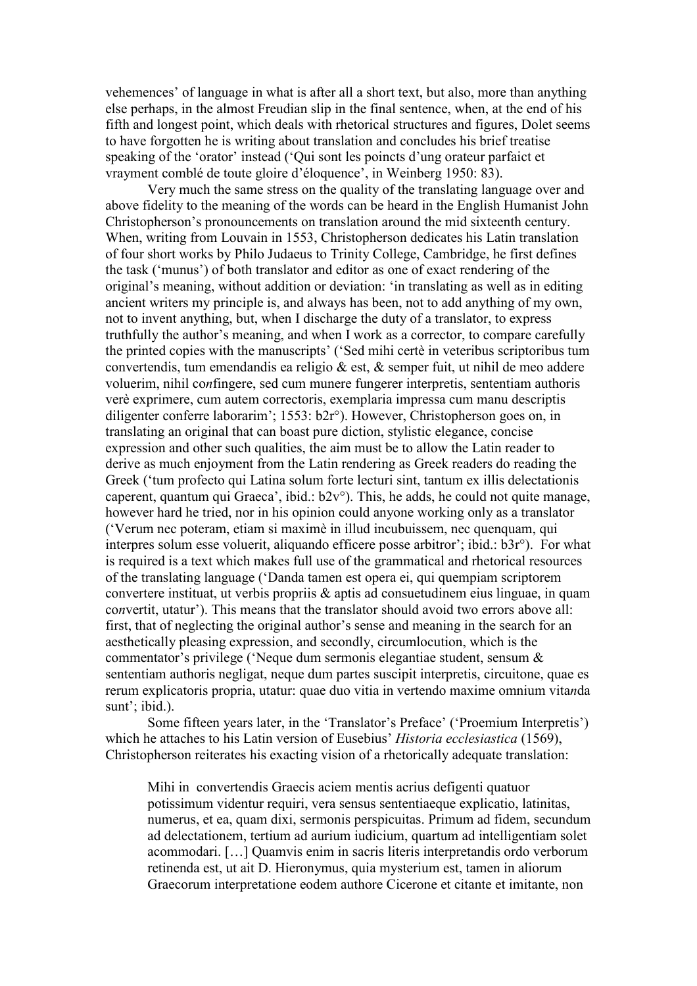vehemences' of language in what is after all a short text, but also, more than anything else perhaps, in the almost Freudian slip in the final sentence, when, at the end of his fifth and longest point, which deals with rhetorical structures and figures, Dolet seems to have forgotten he is writing about translation and concludes his brief treatise speaking of the 'orator' instead ('Qui sont les poincts d'ung orateur parfaict et vrayment comblé de toute gloire d'éloquence', in Weinberg 1950: 83).

 Very much the same stress on the quality of the translating language over and above fidelity to the meaning of the words can be heard in the English Humanist John Christopherson's pronouncements on translation around the mid sixteenth century. When, writing from Louvain in 1553, Christopherson dedicates his Latin translation of four short works by Philo Judaeus to Trinity College, Cambridge, he first defines the task ('munus') of both translator and editor as one of exact rendering of the original's meaning, without addition or deviation: 'in translating as well as in editing ancient writers my principle is, and always has been, not to add anything of my own, not to invent anything, but, when I discharge the duty of a translator, to express truthfully the author's meaning, and when I work as a corrector, to compare carefully the printed copies with the manuscripts' ('Sed mihi certè in veteribus scriptoribus tum convertendis, tum emendandis ea religio & est, & semper fuit, ut nihil de meo addere voluerim, nihil confingere, sed cum munere fungerer interpretis, sententiam authoris verè exprimere, cum autem correctoris, exemplaria impressa cum manu descriptis diligenter conferre laborarim'; 1553: b2r°). However, Christopherson goes on, in translating an original that can boast pure diction, stylistic elegance, concise expression and other such qualities, the aim must be to allow the Latin reader to derive as much enjoyment from the Latin rendering as Greek readers do reading the Greek ('tum profecto qui Latina solum forte lecturi sint, tantum ex illis delectationis caperent, quantum qui Graeca', ibid.:  $b2v^{\circ}$ ). This, he adds, he could not quite manage, however hard he tried, nor in his opinion could anyone working only as a translator ('Verum nec poteram, etiam si maximè in illud incubuissem, nec quenquam, qui interpres solum esse voluerit, aliquando efficere posse arbitror'; ibid.: b3r°). For what is required is a text which makes full use of the grammatical and rhetorical resources of the translating language ('Danda tamen est opera ei, qui quempiam scriptorem convertere instituat, ut verbis propriis & aptis ad consuetudinem eius linguae, in quam convertit, utatur'). This means that the translator should avoid two errors above all: first, that of neglecting the original author's sense and meaning in the search for an aesthetically pleasing expression, and secondly, circumlocution, which is the commentator's privilege ('Neque dum sermonis elegantiae student, sensum & sententiam authoris negligat, neque dum partes suscipit interpretis, circuitone, quae es rerum explicatoris propria, utatur: quae duo vitia in vertendo maxime omnium vitanda sunt'; ibid.).

 Some fifteen years later, in the 'Translator's Preface' ('Proemium Interpretis') which he attaches to his Latin version of Eusebius' *Historia ecclesiastica* (1569), Christopherson reiterates his exacting vision of a rhetorically adequate translation:

Mihi in convertendis Graecis aciem mentis acrius defigenti quatuor potissimum videntur requiri, vera sensus sententiaeque explicatio, latinitas, numerus, et ea, quam dixi, sermonis perspicuitas. Primum ad fidem, secundum ad delectationem, tertium ad aurium iudicium, quartum ad intelligentiam solet acommodari. […] Quamvis enim in sacris literis interpretandis ordo verborum retinenda est, ut ait D. Hieronymus, quia mysterium est, tamen in aliorum Graecorum interpretatione eodem authore Cicerone et citante et imitante, non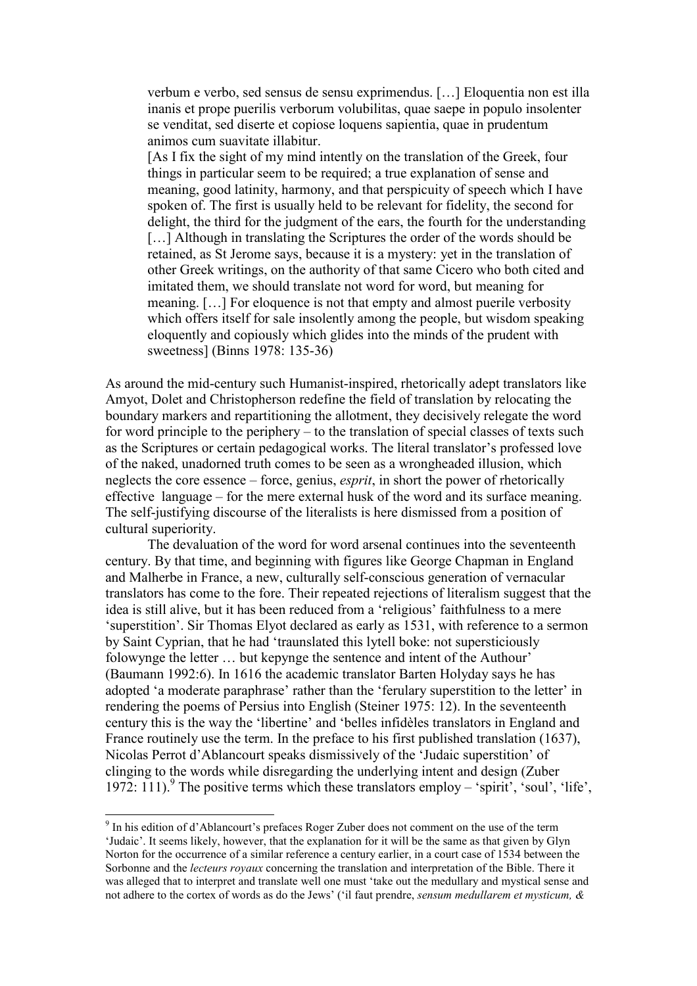verbum e verbo, sed sensus de sensu exprimendus. […] Eloquentia non est illa inanis et prope puerilis verborum volubilitas, quae saepe in populo insolenter se venditat, sed diserte et copiose loquens sapientia, quae in prudentum animos cum suavitate illabitur.

[As I fix the sight of my mind intently on the translation of the Greek, four things in particular seem to be required; a true explanation of sense and meaning, good latinity, harmony, and that perspicuity of speech which I have spoken of. The first is usually held to be relevant for fidelity, the second for delight, the third for the judgment of the ears, the fourth for the understanding [...] Although in translating the Scriptures the order of the words should be retained, as St Jerome says, because it is a mystery: yet in the translation of other Greek writings, on the authority of that same Cicero who both cited and imitated them, we should translate not word for word, but meaning for meaning. […] For eloquence is not that empty and almost puerile verbosity which offers itself for sale insolently among the people, but wisdom speaking eloquently and copiously which glides into the minds of the prudent with sweetness] (Binns 1978: 135-36)

As around the mid-century such Humanist-inspired, rhetorically adept translators like Amyot, Dolet and Christopherson redefine the field of translation by relocating the boundary markers and repartitioning the allotment, they decisively relegate the word for word principle to the periphery – to the translation of special classes of texts such as the Scriptures or certain pedagogical works. The literal translator's professed love of the naked, unadorned truth comes to be seen as a wrongheaded illusion, which neglects the core essence – force, genius, esprit, in short the power of rhetorically effective language – for the mere external husk of the word and its surface meaning. The self-justifying discourse of the literalists is here dismissed from a position of cultural superiority.

 The devaluation of the word for word arsenal continues into the seventeenth century. By that time, and beginning with figures like George Chapman in England and Malherbe in France, a new, culturally self-conscious generation of vernacular translators has come to the fore. Their repeated rejections of literalism suggest that the idea is still alive, but it has been reduced from a 'religious' faithfulness to a mere 'superstition'. Sir Thomas Elyot declared as early as 1531, with reference to a sermon by Saint Cyprian, that he had 'traunslated this lytell boke: not supersticiously folowynge the letter … but kepynge the sentence and intent of the Authour' (Baumann 1992:6). In 1616 the academic translator Barten Holyday says he has adopted 'a moderate paraphrase' rather than the 'ferulary superstition to the letter' in rendering the poems of Persius into English (Steiner 1975: 12). In the seventeenth century this is the way the 'libertine' and 'belles infidèles translators in England and France routinely use the term. In the preface to his first published translation (1637), Nicolas Perrot d'Ablancourt speaks dismissively of the 'Judaic superstition' of clinging to the words while disregarding the underlying intent and design (Zuber 1972: 111).<sup>9</sup> The positive terms which these translators employ – 'spirit', 'soul', 'life',

<sup>&</sup>lt;sup>9</sup> In his edition of d'Ablancourt's prefaces Roger Zuber does not comment on the use of the term 'Judaic'. It seems likely, however, that the explanation for it will be the same as that given by Glyn Norton for the occurrence of a similar reference a century earlier, in a court case of 1534 between the Sorbonne and the *lecteurs royaux* concerning the translation and interpretation of the Bible. There it was alleged that to interpret and translate well one must 'take out the medullary and mystical sense and not adhere to the cortex of words as do the Jews' ('il faut prendre, sensum medullarem et mysticum, &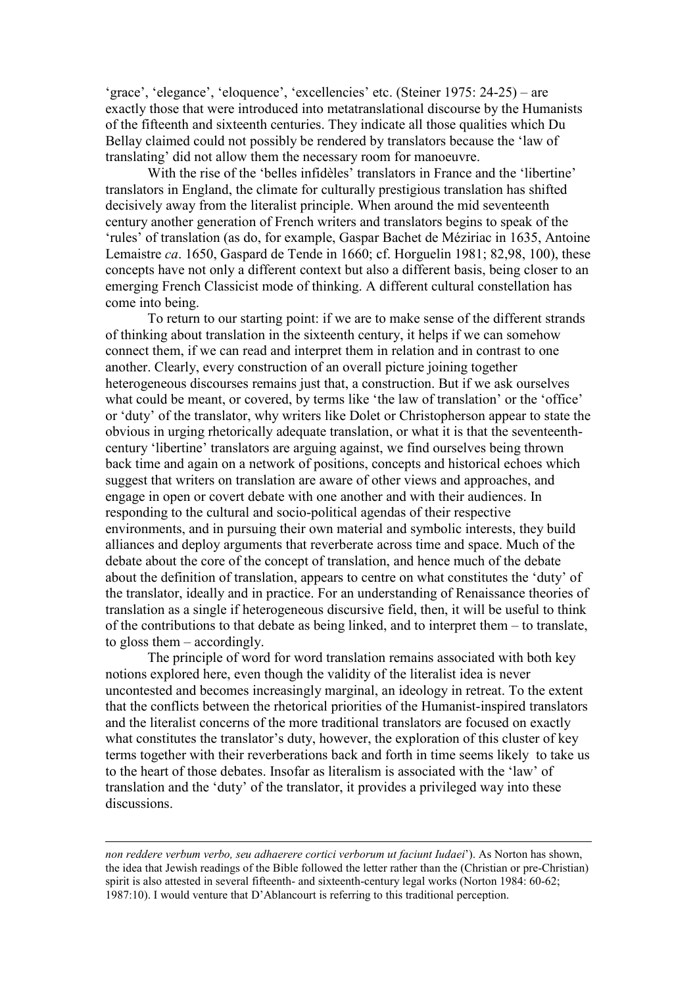'grace', 'elegance', 'eloquence', 'excellencies' etc. (Steiner 1975: 24-25) – are exactly those that were introduced into metatranslational discourse by the Humanists of the fifteenth and sixteenth centuries. They indicate all those qualities which Du Bellay claimed could not possibly be rendered by translators because the 'law of translating' did not allow them the necessary room for manoeuvre.

 With the rise of the 'belles infidèles' translators in France and the 'libertine' translators in England, the climate for culturally prestigious translation has shifted decisively away from the literalist principle. When around the mid seventeenth century another generation of French writers and translators begins to speak of the 'rules' of translation (as do, for example, Gaspar Bachet de Méziriac in 1635, Antoine Lemaistre ca. 1650, Gaspard de Tende in 1660; cf. Horguelin 1981; 82,98, 100), these concepts have not only a different context but also a different basis, being closer to an emerging French Classicist mode of thinking. A different cultural constellation has come into being.

 To return to our starting point: if we are to make sense of the different strands of thinking about translation in the sixteenth century, it helps if we can somehow connect them, if we can read and interpret them in relation and in contrast to one another. Clearly, every construction of an overall picture joining together heterogeneous discourses remains just that, a construction. But if we ask ourselves what could be meant, or covered, by terms like 'the law of translation' or the 'office' or 'duty' of the translator, why writers like Dolet or Christopherson appear to state the obvious in urging rhetorically adequate translation, or what it is that the seventeenthcentury 'libertine' translators are arguing against, we find ourselves being thrown back time and again on a network of positions, concepts and historical echoes which suggest that writers on translation are aware of other views and approaches, and engage in open or covert debate with one another and with their audiences. In responding to the cultural and socio-political agendas of their respective environments, and in pursuing their own material and symbolic interests, they build alliances and deploy arguments that reverberate across time and space. Much of the debate about the core of the concept of translation, and hence much of the debate about the definition of translation, appears to centre on what constitutes the 'duty' of the translator, ideally and in practice. For an understanding of Renaissance theories of translation as a single if heterogeneous discursive field, then, it will be useful to think of the contributions to that debate as being linked, and to interpret them – to translate, to gloss them – accordingly.

 The principle of word for word translation remains associated with both key notions explored here, even though the validity of the literalist idea is never uncontested and becomes increasingly marginal, an ideology in retreat. To the extent that the conflicts between the rhetorical priorities of the Humanist-inspired translators and the literalist concerns of the more traditional translators are focused on exactly what constitutes the translator's duty, however, the exploration of this cluster of key terms together with their reverberations back and forth in time seems likely to take us to the heart of those debates. Insofar as literalism is associated with the 'law' of translation and the 'duty' of the translator, it provides a privileged way into these discussions.

non reddere verbum verbo, seu adhaerere cortici verborum ut faciunt Iudaei'). As Norton has shown, the idea that Jewish readings of the Bible followed the letter rather than the (Christian or pre-Christian) spirit is also attested in several fifteenth- and sixteenth-century legal works (Norton 1984: 60-62; 1987:10). I would venture that D'Ablancourt is referring to this traditional perception.

 $\overline{a}$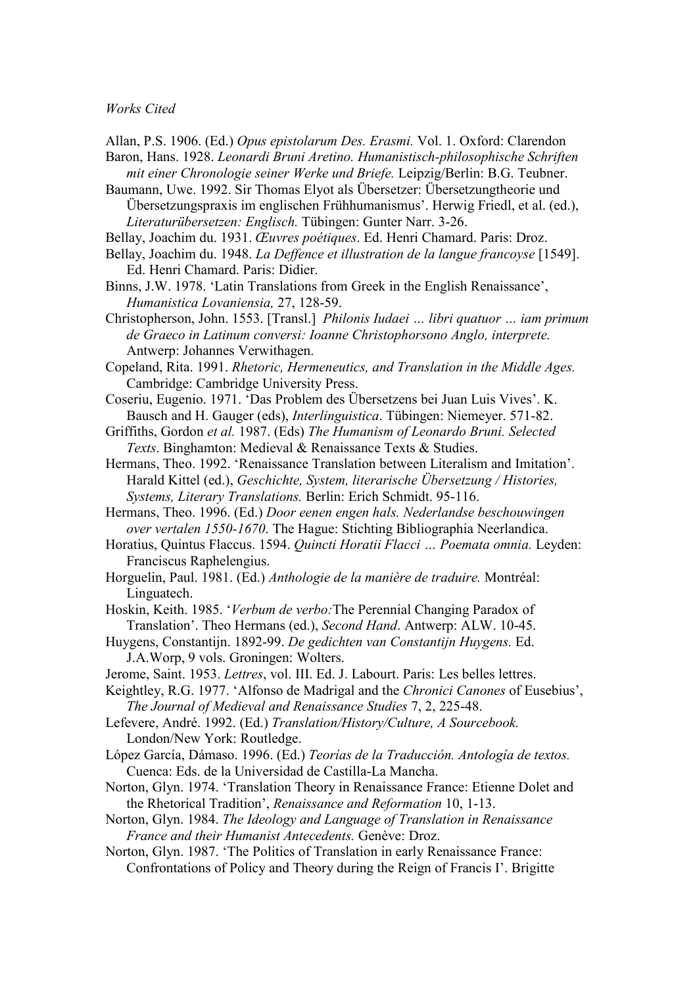Works Cited

- Allan, P.S. 1906. (Ed.) Opus epistolarum Des. Erasmi. Vol. 1. Oxford: Clarendon
- Baron, Hans. 1928. Leonardi Bruni Aretino. Humanistisch-philosophische Schriften mit einer Chronologie seiner Werke und Briefe. Leipzig/Berlin: B.G. Teubner.
- Baumann, Uwe. 1992. Sir Thomas Elyot als Übersetzer: Übersetzungtheorie und Übersetzungspraxis im englischen Frühhumanismus'. Herwig Friedl, et al. (ed.), Literaturübersetzen: Englisch. Tübingen: Gunter Narr. 3-26.
- Bellay, Joachim du. 1931. Œuvres poétiques. Ed. Henri Chamard. Paris: Droz.
- Bellay, Joachim du. 1948. La Deffence et illustration de la langue francoyse [1549]. Ed. Henri Chamard. Paris: Didier.
- Binns, J.W. 1978. 'Latin Translations from Greek in the English Renaissance', Humanistica Lovaniensia, 27, 128-59.
- Christopherson, John. 1553. [Transl.] Philonis Iudaei … libri quatuor … iam primum de Graeco in Latinum conversi: Ioanne Christophorsono Anglo, interprete. Antwerp: Johannes Verwithagen.
- Copeland, Rita. 1991. Rhetoric, Hermeneutics, and Translation in the Middle Ages. Cambridge: Cambridge University Press.
- Coseriu, Eugenio. 1971. 'Das Problem des Übersetzens bei Juan Luis Vives'. K. Bausch and H. Gauger (eds), Interlinguistica. Tübingen: Niemeyer. 571-82.
- Griffiths, Gordon et al. 1987. (Eds) The Humanism of Leonardo Bruni. Selected Texts. Binghamton: Medieval & Renaissance Texts & Studies.
- Hermans, Theo. 1992. 'Renaissance Translation between Literalism and Imitation'. Harald Kittel (ed.), Geschichte, System, literarische Übersetzung / Histories, Systems, Literary Translations. Berlin: Erich Schmidt. 95-116.
- Hermans, Theo. 1996. (Ed.) Door eenen engen hals. Nederlandse beschouwingen over vertalen 1550-1670. The Hague: Stichting Bibliographia Neerlandica.
- Horatius, Quintus Flaccus. 1594. Quincti Horatii Flacci … Poemata omnia. Leyden: Franciscus Raphelengius.
- Horguelin, Paul. 1981. (Ed.) Anthologie de la manière de traduire. Montréal: Linguatech.
- Hoskin, Keith. 1985. 'Verbum de verbo:The Perennial Changing Paradox of Translation'. Theo Hermans (ed.), Second Hand. Antwerp: ALW. 10-45.
- Huygens, Constantijn. 1892-99. De gedichten van Constantijn Huygens. Ed. J.A.Worp, 9 vols. Groningen: Wolters.
- Jerome, Saint. 1953. Lettres, vol. III. Ed. J. Labourt. Paris: Les belles lettres.
- Keightley, R.G. 1977. 'Alfonso de Madrigal and the Chronici Canones of Eusebius', The Journal of Medieval and Renaissance Studies 7, 2, 225-48.
- Lefevere, André. 1992. (Ed.) Translation/History/Culture, A Sourcebook. London/New York: Routledge.
- López García, Dámaso. 1996. (Ed.) Teorías de la Traducción. Antología de textos. Cuenca: Eds. de la Universidad de Castilla-La Mancha.
- Norton, Glyn. 1974. 'Translation Theory in Renaissance France: Etienne Dolet and the Rhetorical Tradition', Renaissance and Reformation 10, 1-13.
- Norton, Glyn. 1984. The Ideology and Language of Translation in Renaissance France and their Humanist Antecedents. Genève: Droz.
- Norton, Glyn. 1987. 'The Politics of Translation in early Renaissance France: Confrontations of Policy and Theory during the Reign of Francis I'. Brigitte